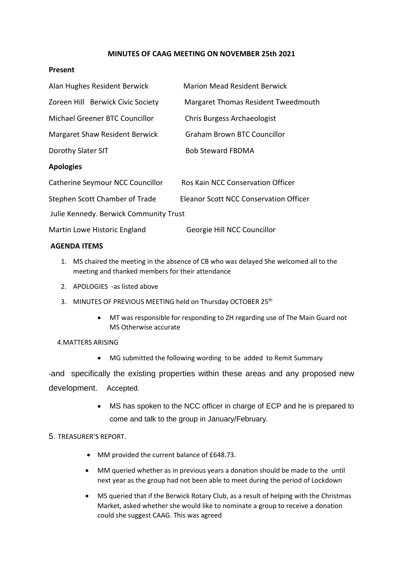# **MINUTES OF CAAG MEETING ON NOVEMBER 25th 2021**

### **Present**

| Alan Hughes Resident Berwick           | <b>Marion Mead Resident Berwick</b>           |
|----------------------------------------|-----------------------------------------------|
| Zoreen Hill Berwick Civic Society      | Margaret Thomas Resident Tweedmouth           |
| Michael Greener BTC Councillor         | Chris Burgess Archaeologist                   |
| <b>Margaret Shaw Resident Berwick</b>  | <b>Graham Brown BTC Councillor</b>            |
| Dorothy Slater SIT                     | <b>Bob Steward FBDMA</b>                      |
| <b>Apologies</b>                       |                                               |
| Catherine Seymour NCC Councillor       | Ros Kain NCC Conservation Officer             |
| Stephen Scott Chamber of Trade         | <b>Eleanor Scott NCC Conservation Officer</b> |
| Julie Kennedy. Berwick Community Trust |                                               |
| Martin Lowe Historic England           | Georgie Hill NCC Councillor                   |

### **AGENDA ITEMS**

- 1. MS chaired the meeting in the absence of CB who was delayed She welcomed all to the meeting and thanked members for their attendance
- 2. APOLOGIES -as listed above
- 3. MINUTES OF PREVIOUS MEETING held on Thursday OCTOBER 25<sup>th</sup>
	- MT was responsible for responding to ZH regarding use of The Main Guard not MS Otherwise accurate

# 4.MATTERS ARISING

• MG submitted the following wording to be added to Remit Summary

-and specifically the existing properties within these areas and any proposed new development. Accepted.

> • MS has spoken to the NCC officer in charge of ECP and he is prepared to come and talk to the group in January/February.

# 5. TREASURER'S REPORT.

- MM provided the current balance of £648.73.
- MM queried whether as in previous years a donation should be made to the until next year as the group had not been able to meet during the period of Lockdown
- MS queried that if the Berwick Rotary Club, as a result of helping with the Christmas Market, asked whether she would like to nominate a group to receive a donation could she suggest CAAG. This was agreed